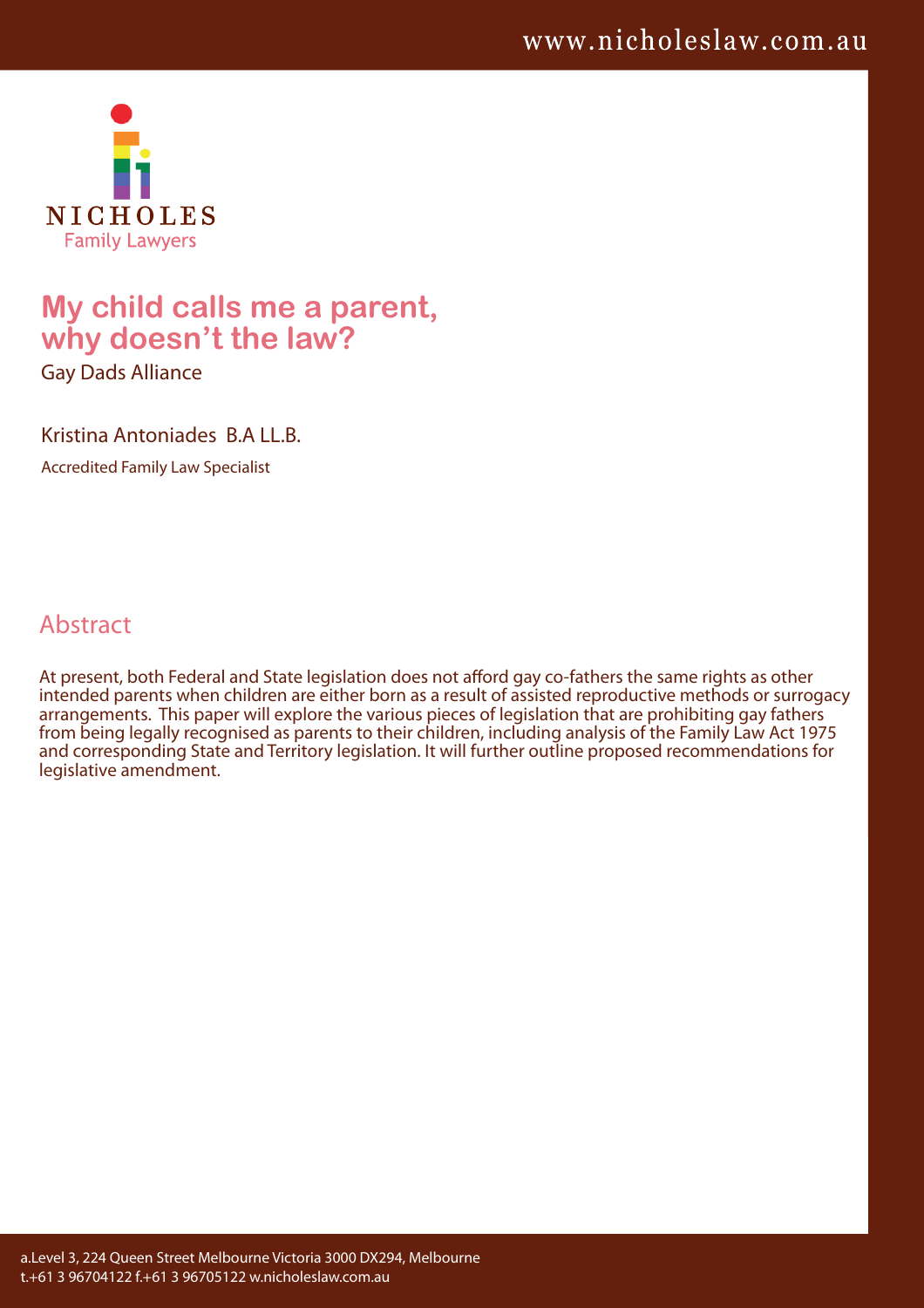

# **My child calls me a parent, why doesn't the law?**

Gay Dads Alliance

Kristina Antoniades B.A LL.B.

Accredited Family Law Specialist

## Abstract

At present, both Federal and State legislation does not afford gay co-fathers the same rights as other intended parents when children are either born as a result of assisted reproductive methods or surrogacy arrangements. This paper will explore the various pieces of legislation that are prohibiting gay fathers from being legally recognised as parents to their children, including analysis of the Family Law Act 1975 and corresponding State and Territory legislation. It will further outline proposed recommendations for legislative amendment.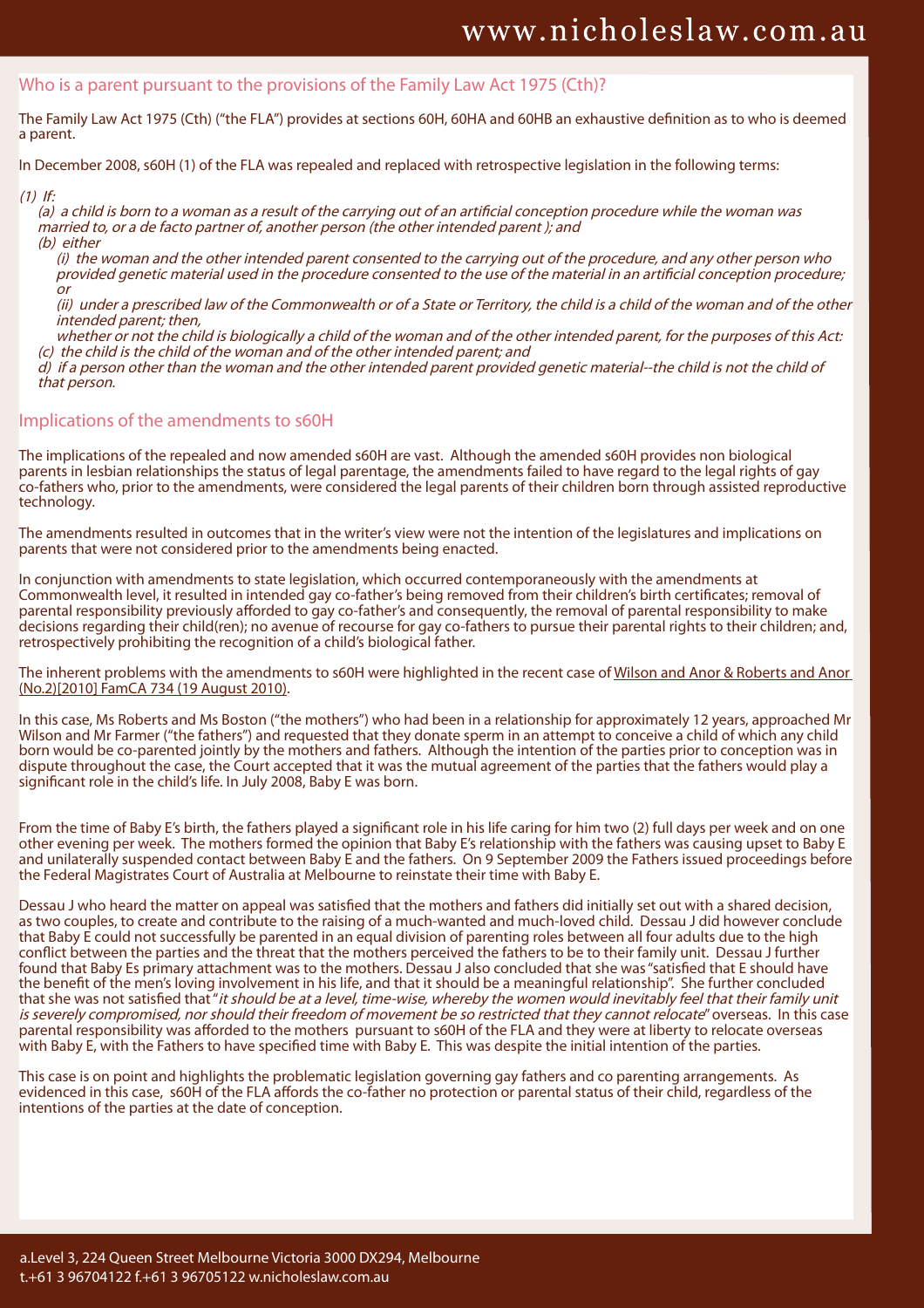#### Who is a parent pursuant to the provisions of the Family Law Act 1975 (Cth)?

The Family Law Act 1975 (Cth) ("the FLA") provides at sections 60H, 60HA and 60HB an exhaustive definition as to who is deemed a parent.

In December 2008, s60H (1) of the FLA was repealed and replaced with retrospective legislation in the following terms:

(1) If:

(a) a child is born to a woman as a result of the carrying out of an artificial conception procedure while the woman was married to, or a de facto partner of, another person (the other intended parent ); and (b) either

(i) the woman and the other intended parent consented to the carrying out of the procedure, and any other person who provided genetic material used in the procedure consented to the use of the material in an artificial conception procedure; or

(ii) under a prescribed law of the Commonwealth or of a State or Territory, the child is a child of the woman and of the other intended parent; then,

whether or not the child is biologically a child of the woman and of the other intended parent, for the purposes of this Act: (c) the child is the child of the woman and of the other intended parent; and

d) if a person other than the woman and the other intended parent provided genetic material--the child is not the child of that person.

## Implications of the amendments to s60H

The implications of the repealed and now amended s60H are vast. Although the amended s60H provides non biological parents in lesbian relationships the status of legal parentage, the amendments failed to have regard to the legal rights of gay co-fathers who, prior to the amendments, were considered the legal parents of their children born through assisted reproductive technology.

The amendments resulted in outcomes that in the writer's view were not the intention of the legislatures and implications on parents that were not considered prior to the amendments being enacted.

In conjunction with amendments to state legislation, which occurred contemporaneously with the amendments at Commonwealth level, it resulted in intended gay co-father's being removed from their children's birth certificates; removal of parental responsibility previously afforded to gay co-father's and consequently, the removal of parental responsibility to make decisions regarding their child(ren); no avenue of recourse for gay co-fathers to pursue their parental rights to their children; and, retrospectively prohibiting the recognition of a child's biological father.

The inherent problems with the amendments to s60H were highlighted in the recent case of Wilson and Anor & Roberts and Anor (No.2)[2010] FamCA 734 (19 August 2010).

In this case, Ms Roberts and Ms Boston ("the mothers") who had been in a relationship for approximately 12 years, approached Mr Wilson and Mr Farmer ("the fathers") and requested that they donate sperm in an attempt to conceive a child of which any child born would be co-parented jointly by the mothers and fathers. Although the intention of the parties prior to conception was in dispute throughout the case, the Court accepted that it was the mutual agreement of the parties that the fathers would play a significant role in the child's life. In July 2008, Baby E was born.

From the time of Baby E's birth, the fathers played a significant role in his life caring for him two (2) full days per week and on one other evening per week. The mothers formed the opinion that Baby E's relationship with the fathers was causing upset to Baby E and unilaterally suspended contact between Baby E and the fathers. On 9 September 2009 the Fathers issued proceedings before the Federal Magistrates Court of Australia at Melbourne to reinstate their time with Baby E.

Dessau J who heard the matter on appeal was satisfied that the mothers and fathers did initially set out with a shared decision, as two couples, to create and contribute to the raising of a much-wanted and much-loved child. Dessau J did however conclude that Baby E could not successfully be parented in an equal division of parenting roles between all four adults due to the high conflict between the parties and the threat that the mothers perceived the fathers to be to their family unit. Dessau J further found that Baby Es primary attachment was to the mothers. Dessau J also concluded that she was "satisfied that E should have the benefit of the men's loving involvement in his life, and that it should be a meaningful relationship". She further concluded that she was not satisfied that "it should be at a level, time-wise, whereby the women would inevitably feel that their family unit is severely compromised, nor should their freedom of movement be so restricted that they cannot relocate" overseas. In this case parental responsibility was afforded to the mothers pursuant to s60H of the FLA and they were at liberty to relocate overseas with Baby E, with the Fathers to have specified time with Baby E. This was despite the initial intention of the parties.

This case is on point and highlights the problematic legislation governing gay fathers and co parenting arrangements. As evidenced in this case, s60H of the FLA affords the co-father no protection or parental status of their child, regardless of the intentions of the parties at the date of conception.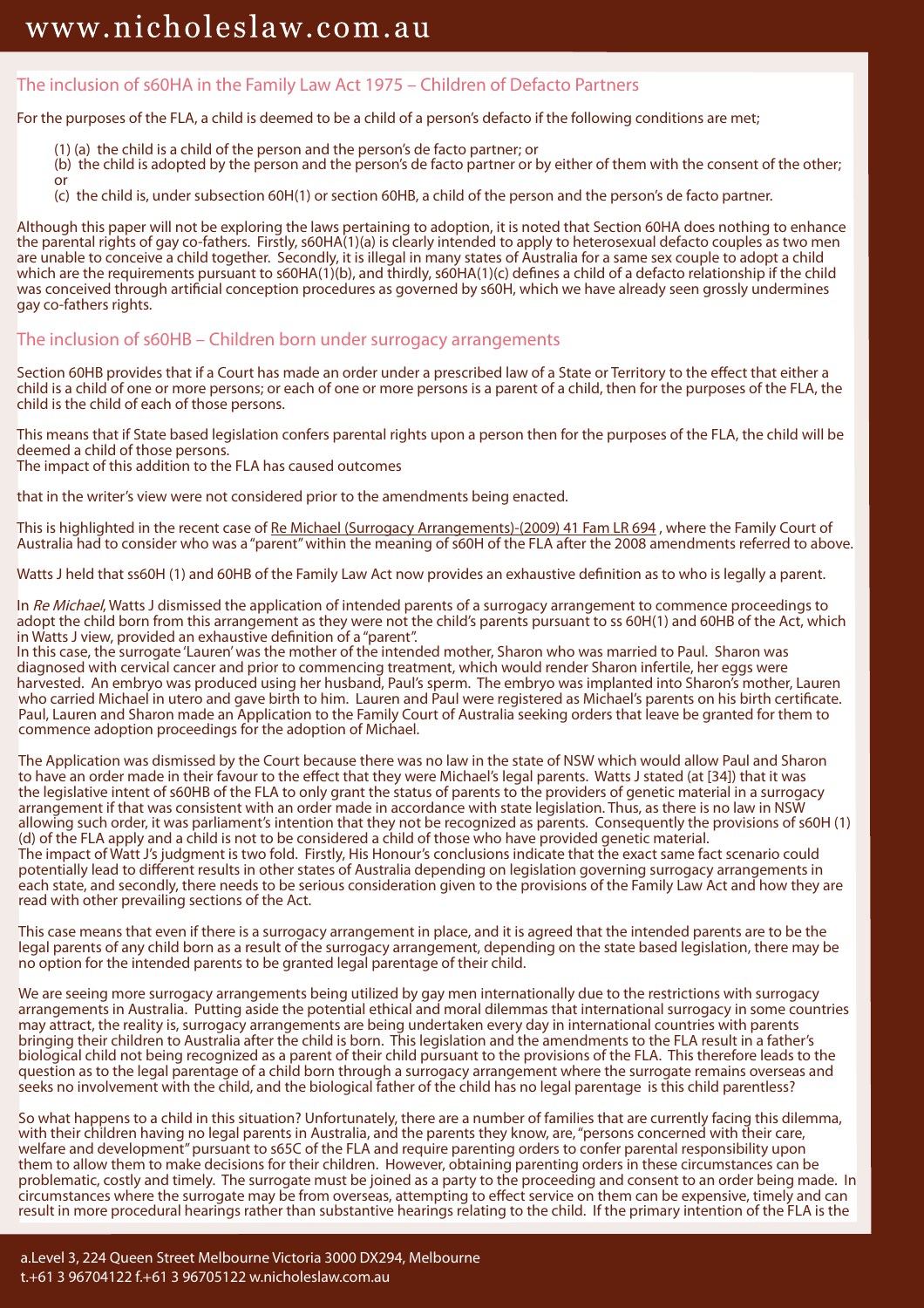or

## The inclusion of s60HA in the Family Law Act 1975 – Children of Defacto Partners

For the purposes of the FLA, a child is deemed to be a child of a person's defacto if the following conditions are met;

- (1) (a) the child is a child of the person and the person's de facto partner; or
- (b) the child is adopted by the person and the person's de facto partner or by either of them with the consent of the other;
- (c) the child is, under subsection 60H(1) or section 60HB, a child of the person and the person's de facto partner.

Although this paper will not be exploring the laws pertaining to adoption, it is noted that Section 60HA does nothing to enhance the parental rights of gay co-fathers. Firstly, s60HA(1)(a) is clearly intended to apply to heterosexual defacto couples as two men are unable to conceive a child together. Secondly, it is illegal in many states of Australia for a same sex couple to adopt a child which are the requirements pursuant to  $s60HA(1)(b)$ , and thirdly,  $s60HA(1)(c)$  defines a child of a defacto relationship if the child was conceived through artificial conception procedures as governed by s60H, which we have already seen grossly undermines gay co-fathers rights.

## The inclusion of s60HB – Children born under surrogacy arrangements

Section 60HB provides that if a Court has made an order under a prescribed law of a State or Territory to the effect that either a child is a child of one or more persons; or each of one or more persons is a parent of a child, then for the purposes of the FLA, the child is the child of each of those persons.

This means that if State based legislation confers parental rights upon a person then for the purposes of the FLA, the child will be deemed a child of those persons. The impact of this addition to the FLA has caused outcomes

that in the writer's view were not considered prior to the amendments being enacted.

This is highlighted in the recent case of Re Michael (Surrogacy Arrangements)-(2009) 41 Fam LR 694, where the Family Court of Australia had to consider who was a "parent" within the meaning of s60H of the FLA after the 2008 amendments referred to above.

Watts J held that ss60H (1) and 60HB of the Family Law Act now provides an exhaustive definition as to who is legally a parent.

In Re Michael, Watts J dismissed the application of intended parents of a surrogacy arrangement to commence proceedings to adopt the child born from this arrangement as they were not the child's parents pursuant to ss 60H(1) and 60HB of the Act, which in Watts J view, provided an exhaustive definition of a "parent".

In this case, the surrogate 'Lauren' was the mother of the intended mother, Sharon who was married to Paul. Sharon was diagnosed with cervical cancer and prior to commencing treatment, which would render Sharon infertile, her eggs were harvested. An embryo was produced using her husband, Paul's sperm. The embryo was implanted into Sharon's mother, Lauren who carried Michael in utero and gave birth to him. Lauren and Paul were registered as Michael's parents on his birth certificate. Paul, Lauren and Sharon made an Application to the Family Court of Australia seeking orders that leave be granted for them to commence adoption proceedings for the adoption of Michael.

The Application was dismissed by the Court because there was no law in the state of NSW which would allow Paul and Sharon to have an order made in their favour to the effect that they were Michael's legal parents. Watts J stated (at [34]) that it was the legislative intent of s60HB of the FLA to only grant the status of parents to the providers of genetic material in a surrogacy arrangement if that was consistent with an order made in accordance with state legislation. Thus, as there is no law in NSW allowing such order, it was parliament's intention that they not be recognized as parents. Consequently the provisions of s60H (1) (d) of the FLA apply and a child is not to be considered a child of those who have provided genetic material. The impact of Watt J's judgment is two fold. Firstly, His Honour's conclusions indicate that the exact same fact scenario could potentially lead to different results in other states of Australia depending on legislation governing surrogacy arrangements in each state, and secondly, there needs to be serious consideration given to the provisions of the Family Law Act and how they are read with other prevailing sections of the Act.

This case means that even if there is a surrogacy arrangement in place, and it is agreed that the intended parents are to be the legal parents of any child born as a result of the surrogacy arrangement, depending on the state based legislation, there may be no option for the intended parents to be granted legal parentage of their child.

We are seeing more surrogacy arrangements being utilized by gay men internationally due to the restrictions with surrogacy arrangements in Australia. Putting aside the potential ethical and moral dilemmas that international surrogacy in some countries may attract, the reality is, surrogacy arrangements are being undertaken every day in international countries with parents bringing their children to Australia after the child is born. This legislation and the amendments to the FLA result in a father's biological child not being recognized as a parent of their child pursuant to the provisions of the FLA. This therefore leads to the question as to the legal parentage of a child born through a surrogacy arrangement where the surrogate remains overseas and seeks no involvement with the child, and the biological father of the child has no legal parentage is this child parentless?

So what happens to a child in this situation? Unfortunately, there are a number of families that are currently facing this dilemma, with their children having no legal parents in Australia, and the parents they know, are, "persons concerned with their care, welfare and development" pursuant to s65C of the FLA and require parenting orders to confer parental responsibility upon them to allow them to make decisions for their children. However, obtaining parenting orders in these circumstances can be problematic, costly and timely. The surrogate must be joined as a party to the proceeding and consent to an order being made. In circumstances where the surrogate may be from overseas, attempting to effect service on them can be expensive, timely and can result in more procedural hearings rather than substantive hearings relating to the child. If the primary intention of the FLA is the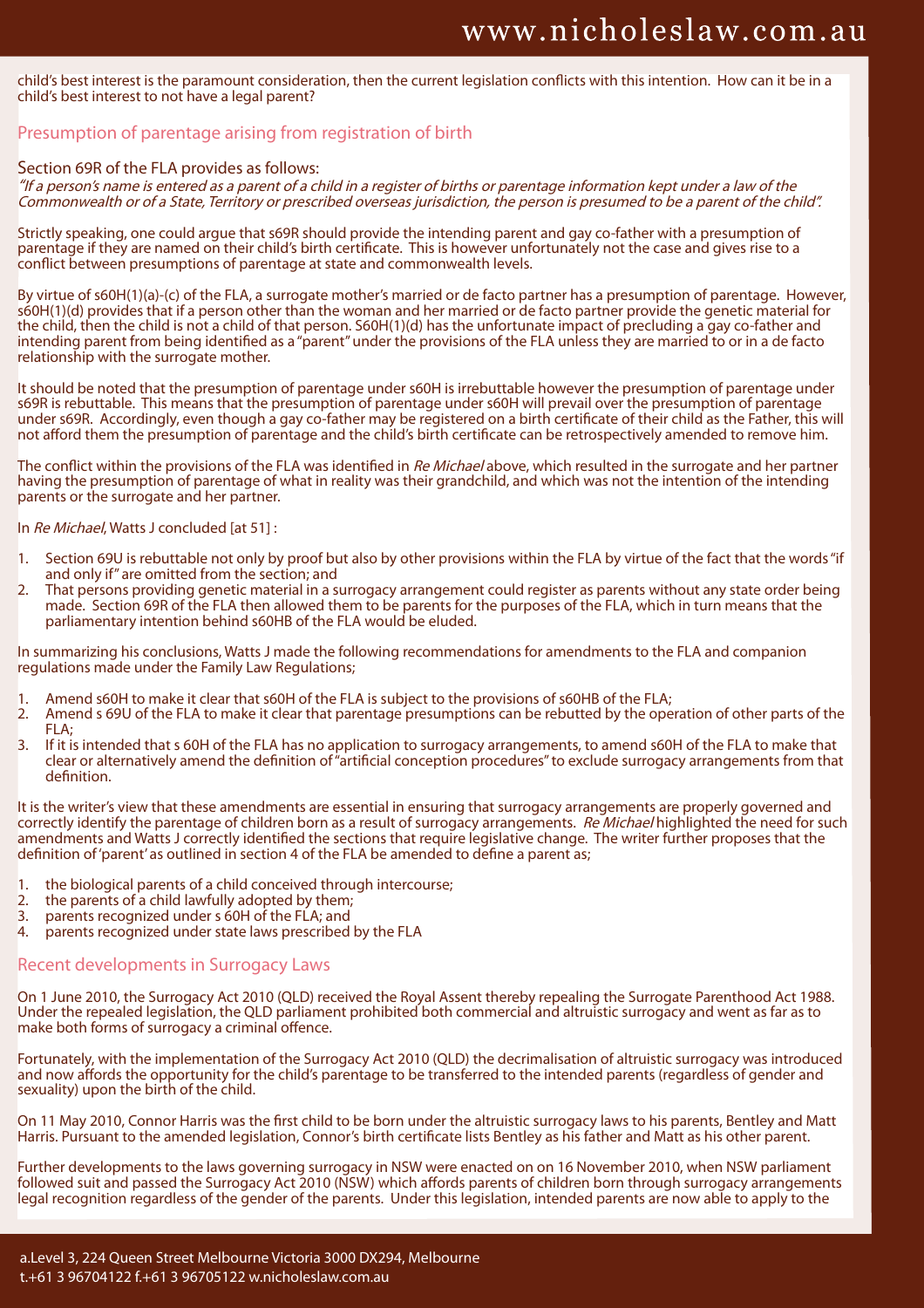child's best interest is the paramount consideration, then the current legislation conflicts with this intention. How can it be in a child's best interest to not have a legal parent?

## Presumption of parentage arising from registration of birth

#### Section 69R of the FLA provides as follows:

"If a person's name is entered as a parent of a child in a register of births or parentage information kept under a law of the Commonwealth or of a State, Territory or prescribed overseas jurisdiction, the person is presumed to be a parent of the child".

Strictly speaking, one could argue that s69R should provide the intending parent and gay co-father with a presumption of parentage if they are named on their child's birth certificate. This is however unfortunately not the case and gives rise to a conflict between presumptions of parentage at state and commonwealth levels.

By virtue of s60H(1)(a)-(c) of the FLA, a surrogate mother's married or de facto partner has a presumption of parentage. However, s60H(1)(d) provides that if a person other than the woman and her married or de facto partner provide the genetic material for the child, then the child is not a child of that person. S60H(1)(d) has the unfortunate impact of precluding a gay co-father and intending parent from being identified as a "parent" under the provisions of the FLA unless they are married to or in a de facto relationship with the surrogate mother.

It should be noted that the presumption of parentage under s60H is irrebuttable however the presumption of parentage under s69R is rebuttable. This means that the presumption of parentage under s60H will prevail over the presumption of parentage under s69R. Accordingly, even though a gay co-father may be registered on a birth certificate of their child as the Father, this will not afford them the presumption of parentage and the child's birth certificate can be retrospectively amended to remove him.

The conflict within the provisions of the FLA was identified in Re Michael above, which resulted in the surrogate and her partner having the presumption of parentage of what in reality was their grandchild, and which was not the intention of the intending parents or the surrogate and her partner.

#### In Re Michael, Watts J concluded [at 51] :

- 1. Section 69U is rebuttable not only by proof but also by other provisions within the FLA by virtue of the fact that the words "if and only if" are omitted from the section; and
- 2. That persons providing genetic material in a surrogacy arrangement could register as parents without any state order being made. Section 69R of the FLA then allowed them to be parents for the purposes of the FLA, which in turn means that the parliamentary intention behind s60HB of the FLA would be eluded.

In summarizing his conclusions, Watts J made the following recommendations for amendments to the FLA and companion regulations made under the Family Law Regulations;

- 1. Amend s60H to make it clear that s60H of the FLA is subject to the provisions of s60HB of the FLA;
- 2. Amend s 69U of the FLA to make it clear that parentage presumptions can be rebutted by the operation of other parts of the  $FI$   $A$
- 3. If it is intended that s 60H of the FLA has no application to surrogacy arrangements, to amend s60H of the FLA to make that clear or alternatively amend the definition of "artificial conception procedures" to exclude surrogacy arrangements from that definition.

It is the writer's view that these amendments are essential in ensuring that surrogacy arrangements are properly governed and correctly identify the parentage of children born as a result of surrogacy arrangements. Re Michael highlighted the need for such amendments and Watts J correctly identified the sections that require legislative change. The writer further proposes that the definition of 'parent' as outlined in section 4 of the FLA be amended to define a parent as;

- 1. the biological parents of a child conceived through intercourse;
- 2. the parents of a child lawfully adopted by them;<br>3. parents recognized under s 60H of the FLA: and
- 3. parents recognized under  $s$  60H of the FLA; and  $4$  parents recognized under state laws prescribed
- parents recognized under state laws prescribed by the FLA

#### Recent developments in Surrogacy Laws

On 1 June 2010, the Surrogacy Act 2010 (QLD) received the Royal Assent thereby repealing the Surrogate Parenthood Act 1988. Under the repealed legislation, the QLD parliament prohibited both commercial and altruistic surrogacy and went as far as to make both forms of surrogacy a criminal offence.

Fortunately, with the implementation of the Surrogacy Act 2010 (QLD) the decrimalisation of altruistic surrogacy was introduced and now affords the opportunity for the child's parentage to be transferred to the intended parents (regardless of gender and sexuality) upon the birth of the child.

On 11 May 2010, Connor Harris was the first child to be born under the altruistic surrogacy laws to his parents, Bentley and Matt Harris. Pursuant to the amended legislation, Connor's birth certificate lists Bentley as his father and Matt as his other parent.

Further developments to the laws governing surrogacy in NSW were enacted on on 16 November 2010, when NSW parliament followed suit and passed the Surrogacy Act 2010 (NSW) which affords parents of children born through surrogacy arrangements legal recognition regardless of the gender of the parents. Under this legislation, intended parents are now able to apply to the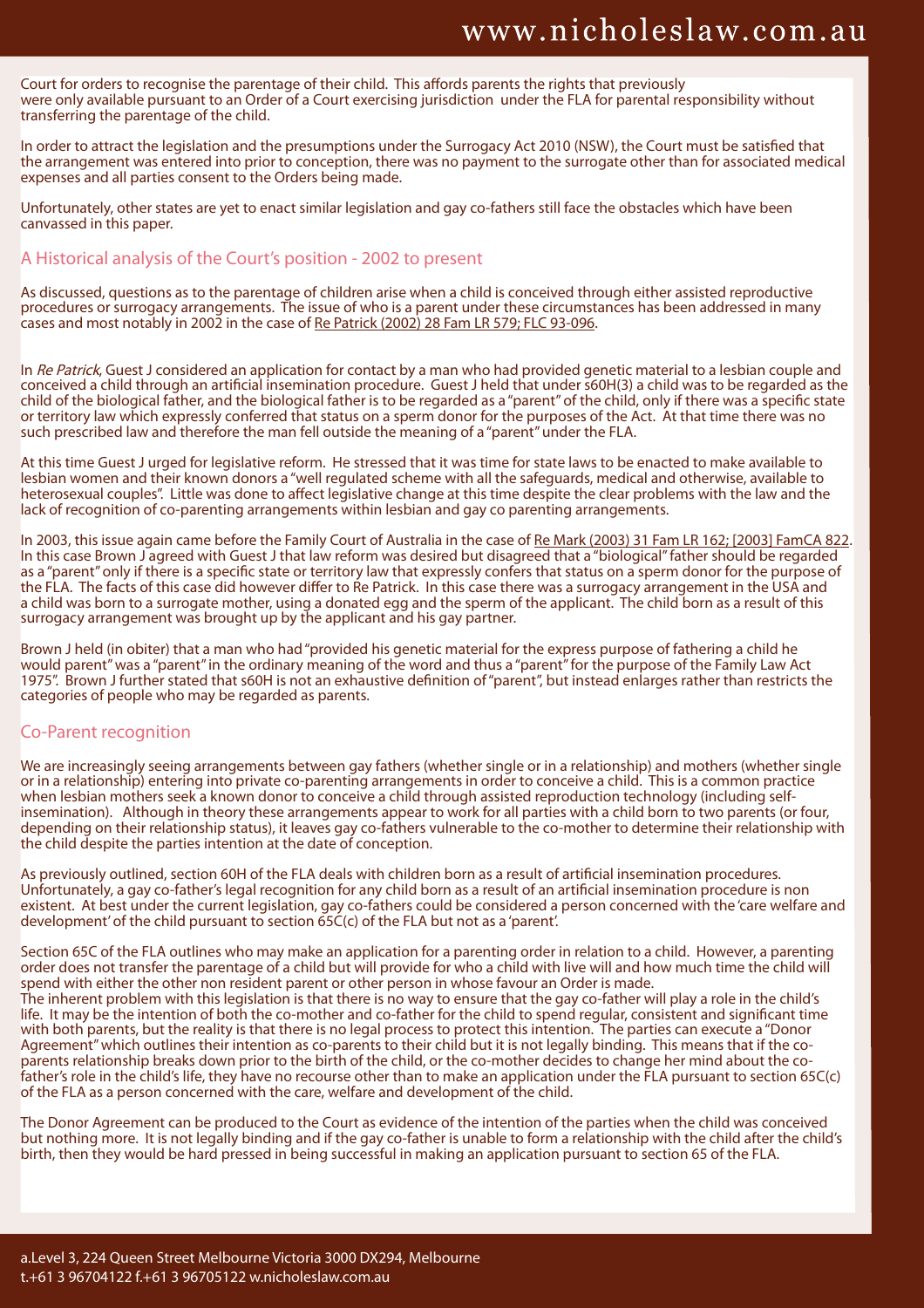Court for orders to recognise the parentage of their child. This affords parents the rights that previously were only available pursuant to an Order of a Court exercising jurisdiction under the FLA for parental responsibility without transferring the parentage of the child.

In order to attract the legislation and the presumptions under the Surrogacy Act 2010 (NSW), the Court must be satisfied that the arrangement was entered into prior to conception, there was no payment to the surrogate other than for associated medical expenses and all parties consent to the Orders being made.

Unfortunately, other states are yet to enact similar legislation and gay co-fathers still face the obstacles which have been canvassed in this paper.

### A Historical analysis of the Court's position - 2002 to present

As discussed, questions as to the parentage of children arise when a child is conceived through either assisted reproductive procedures or surrogacy arrangements. The issue of who is a parent under these circumstances has been addressed in many cases and most notably in 2002 in the case of Re Patrick (2002) 28 Fam LR 579; FLC 93-096.

In Re Patrick, Guest J considered an application for contact by a man who had provided genetic material to a lesbian couple and conceived a child through an artificial insemination procedure. Guest J held that under s60H(3) a child was to be regarded as the child of the biological father, and the biological father is to be regarded as a "parent" of the child, only if there was a specific state or territory law which expressly conferred that status on a sperm donor for the purposes of the Act. At that time there was no such prescribed law and therefore the man fell outside the meaning of a "parent" under the FLA.

At this time Guest J urged for legislative reform. He stressed that it was time for state laws to be enacted to make available to lesbian women and their known donors a "well regulated scheme with all the safeguards, medical and otherwise, available to heterosexual couples". Little was done to affect legislative change at this time despite the clear problems with the law and the lack of recognition of co-parenting arrangements within lesbian and gay co parenting arrangements.

In 2003, this issue again came before the Family Court of Australia in the case of Re Mark (2003) 31 Fam LR 162; [2003] FamCA 822. In this case Brown J agreed with Guest J that law reform was desired but disagreed that a "biological" father should be regarded as a "parent" only if there is a specific state or territory law that expressly confers that status on a sperm donor for the purpose of the FLA. The facts of this case did however differ to Re Patrick. In this case there was a surrogacy arrangement in the USA and a child was born to a surrogate mother, using a donated egg and the sperm of the applicant. The child born as a result of this surrogacy arrangement was brought up by the applicant and his gay partner.

Brown J held (in obiter) that a man who had "provided his genetic material for the express purpose of fathering a child he would parent" was a "parent" in the ordinary meaning of the word and thus a "parent" for the purpose of the Family Law Act 1975". Brown J further stated that s60H is not an exhaustive definition of "parent", but instead enlarges rather than restricts the categories of people who may be regarded as parents.

## Co-Parent recognition

We are increasingly seeing arrangements between gay fathers (whether single or in a relationship) and mothers (whether single or in a relationship) entering into private co-parenting arrangements in order to conceive a child. This is a common practice when lesbian mothers seek a known donor to conceive a child through assisted reproduction technology (including selfinsemination). Although in theory these arrangements appear to work for all parties with a child born to two parents (or four, depending on their relationship status), it leaves gay co-fathers vulnerable to the co-mother to determine their relationship with the child despite the parties intention at the date of conception.

As previously outlined, section 60H of the FLA deals with children born as a result of artificial insemination procedures. Unfortunately, a gay co-father's legal recognition for any child born as a result of an artificial insemination procedure is non existent. At best under the current legislation, gay co-fathers could be considered a person concerned with the 'care welfare and development' of the child pursuant to section  $65C(c)$  of the FLA but not as a 'parent'.

Section 65C of the FLA outlines who may make an application for a parenting order in relation to a child. However, a parenting order does not transfer the parentage of a child but will provide for who a child with live will and how much time the child will spend with either the other non resident parent or other person in whose favour an Order is made. The inherent problem with this legislation is that there is no way to ensure that the gay co-father will play a role in the child's life. It may be the intention of both the co-mother and co-father for the child to spend regular, consistent and significant time with both parents, but the reality is that there is no legal process to protect this intention. The parties can execute a "Donor Agreement" which outlines their intention as co-parents to their child but it is not legally binding. This means that if the coparents relationship breaks down prior to the birth of the child, or the co-mother decides to change her mind about the cofather's role in the child's life, they have no recourse other than to make an application under the FLA pursuant to section 65C(c) of the FLA as a person concerned with the care, welfare and development of the child.

The Donor Agreement can be produced to the Court as evidence of the intention of the parties when the child was conceived but nothing more. It is not legally binding and if the gay co-father is unable to form a relationship with the child after the child's birth, then they would be hard pressed in being successful in making an application pursuant to section 65 of the FLA.